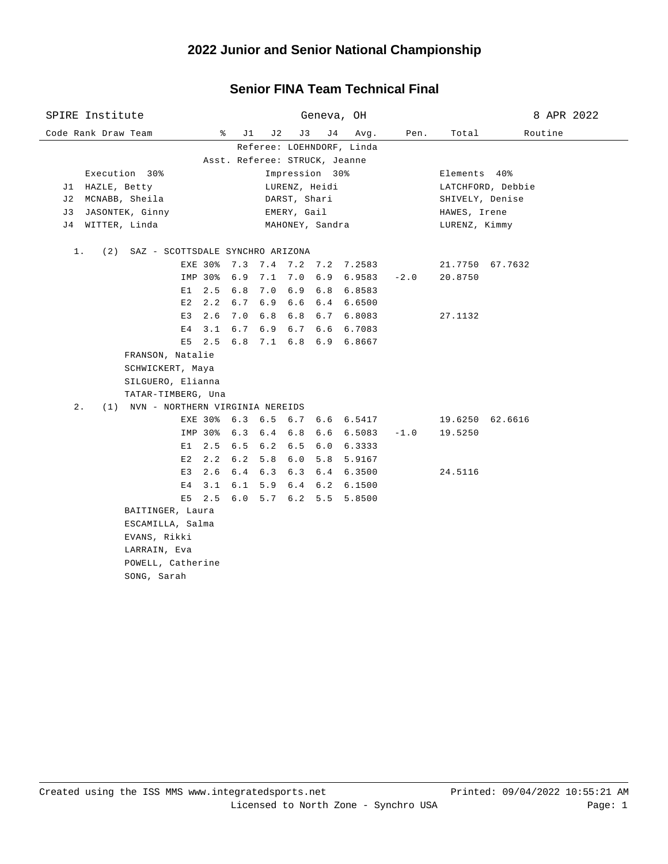#### **2022 Junior and Senior National Championship**

#### Code Rank Draw Team % J1 J2 J3 J4 Avg. Pen. Total Routine SPIRE Institute Geneva, OH 8 APR 2022 Referee: LOEHNDORF, Linda Asst. Referee: STRUCK, Jeanne Execution 30% Impression 30% Elements 40% J1 HAZLE, Betty LURENZ, Heidi LATCHFORD, Debbie J2 MCNABB, Sheila DARST, Shari SHIVELY, Denise J3 JASONTEK, Ginny EMERY, Gail HAWES, Irene J4 WITTER, Linda MAHONEY, Sandra LURENZ, Kimmy 1. (2) SAZ - SCOTTSDALE SYNCHRO ARIZONA EXE 30% 7.3 7.4 7.2 7.2 7.2583 21.7750 67.7632 IMP 30% 6.9 7.1 7.0 6.9 6.9583 -2.0 20.8750 E1 2.5 6.8 7.0 6.9 6.8 6.8583 E2 2.2 6.7 6.9 6.6 6.4 6.6500 E3 2.6 7.0 6.8 6.8 6.7 6.8083 27.1132 E4 3.1 6.7 6.9 6.7 6.6 6.7083 E5 2.5 6.8 7.1 6.8 6.9 6.8667 FRANSON, Natalie SCHWICKERT, Maya SILGUERO, Elianna TATAR-TIMBERG, Una 2. (1) NVN - NORTHERN VIRGINIA NEREIDS EXE 30% 6.3 6.5 6.7 6.6 6.5417 19.6250 62.6616 IMP 30% 6.3 6.4 6.8 6.6 6.5083 -1.0 19.5250 E1 2.5 6.5 6.2 6.5 6.0 6.3333 E2 2.2 6.2 5.8 6.0 5.8 5.9167 E3 2.6 6.4 6.3 6.3 6.4 6.3500 24.5116 E4 3.1 6.1 5.9 6.4 6.2 6.1500 E5 2.5 6.0 5.7 6.2 5.5 5.8500 BAITINGER, Laura ESCAMILLA, Salma EVANS, Rikki LARRAIN, Eva POWELL, Catherine SONG, Sarah

### **Senior FINA Team Technical Final**